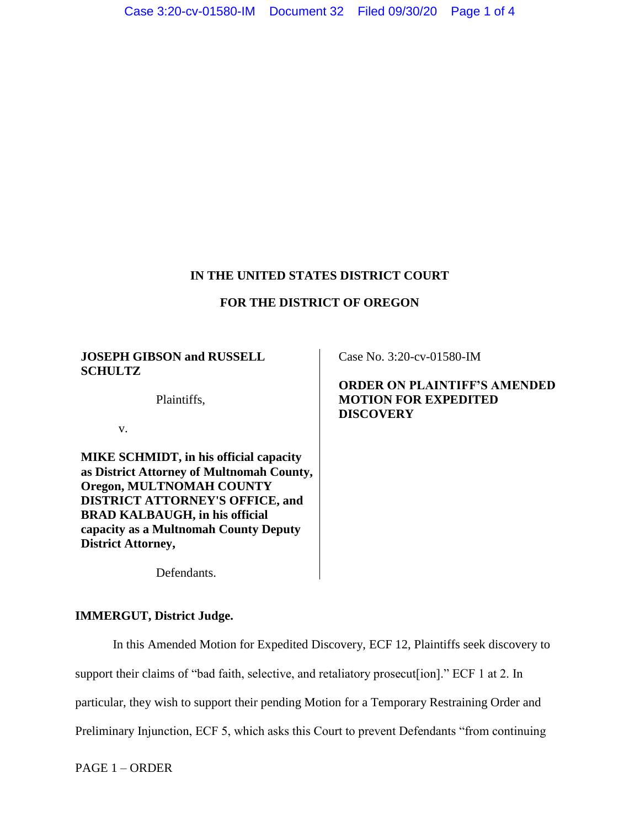## **IN THE UNITED STATES DISTRICT COURT**

## **FOR THE DISTRICT OF OREGON**

#### **JOSEPH GIBSON and RUSSELL SCHULTZ**

Plaintiffs,

v.

**MIKE SCHMIDT, in his official capacity as District Attorney of Multnomah County, Oregon, MULTNOMAH COUNTY DISTRICT ATTORNEY'S OFFICE, and BRAD KALBAUGH, in his official capacity as a Multnomah County Deputy District Attorney,**

Case No. 3:20-cv-01580-IM

## **ORDER ON PLAINTIFF'S AMENDED MOTION FOR EXPEDITED DISCOVERY**

Defendants.

## **IMMERGUT, District Judge.**

In this Amended Motion for Expedited Discovery, ECF 12, Plaintiffs seek discovery to

support their claims of "bad faith, selective, and retaliatory prosecut [ion]." ECF 1 at 2. In

particular, they wish to support their pending Motion for a Temporary Restraining Order and

Preliminary Injunction, ECF 5, which asks this Court to prevent Defendants "from continuing

PAGE 1 – ORDER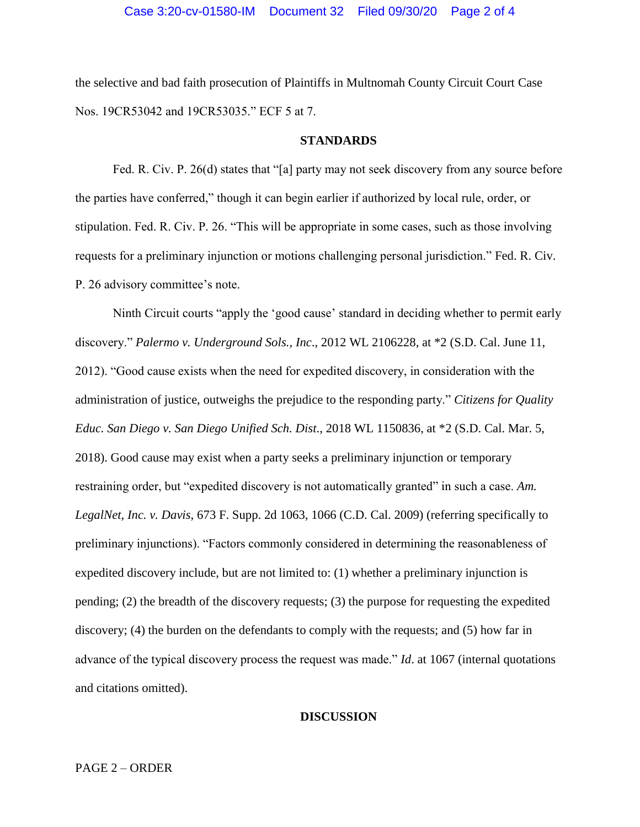the selective and bad faith prosecution of Plaintiffs in Multnomah County Circuit Court Case Nos. 19CR53042 and 19CR53035." ECF 5 at 7.

#### **STANDARDS**

Fed. R. Civ. P. 26(d) states that "[a] party may not seek discovery from any source before the parties have conferred," though it can begin earlier if authorized by local rule, order, or stipulation. Fed. R. Civ. P. 26. "This will be appropriate in some cases, such as those involving requests for a preliminary injunction or motions challenging personal jurisdiction." Fed. R. Civ. P. 26 advisory committee's note.

Ninth Circuit courts "apply the 'good cause' standard in deciding whether to permit early discovery." *Palermo v. Underground Sols., Inc*., 2012 WL 2106228, at \*2 (S.D. Cal. June 11, 2012). "Good cause exists when the need for expedited discovery, in consideration with the administration of justice, outweighs the prejudice to the responding party." *Citizens for Quality Educ. San Diego v. San Diego Unified Sch. Dist*., 2018 WL 1150836, at \*2 (S.D. Cal. Mar. 5, 2018). Good cause may exist when a party seeks a preliminary injunction or temporary restraining order, but "expedited discovery is not automatically granted" in such a case. Am. *LegalNet, Inc. v. Davis*, 673 F. Supp. 2d 1063, 1066 (C.D. Cal. 2009) (referring specifically to preliminary injunctions). "Factors commonly considered in determining the reasonableness of expedited discovery include, but are not limited to: (1) whether a preliminary injunction is pending; (2) the breadth of the discovery requests; (3) the purpose for requesting the expedited discovery; (4) the burden on the defendants to comply with the requests; and (5) how far in advance of the typical discovery process the request was made." *Id*. at 1067 (internal quotations and citations omitted).

#### **DISCUSSION**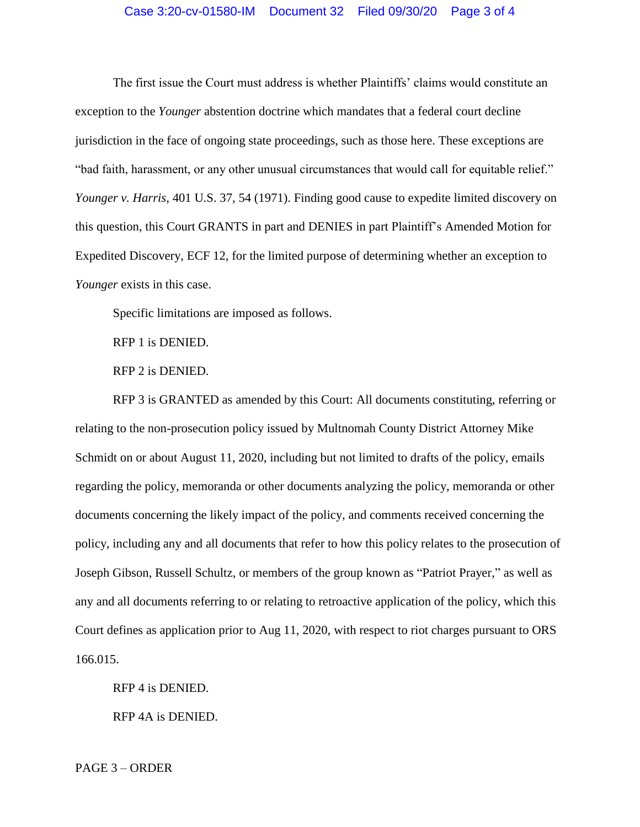#### Case 3:20-cv-01580-IM Document 32 Filed 09/30/20 Page 3 of 4

The first issue the Court must address is whether Plaintiffs' claims would constitute an exception to the *Younger* abstention doctrine which mandates that a federal court decline jurisdiction in the face of ongoing state proceedings, such as those here. These exceptions are "bad faith, harassment, or any other unusual circumstances that would call for equitable relief." *Younger v. Harris*, 401 U.S. 37, 54 (1971). Finding good cause to expedite limited discovery on this question, this Court GRANTS in part and DENIES in part Plaintiff's Amended Motion for Expedited Discovery, ECF 12, for the limited purpose of determining whether an exception to *Younger* exists in this case.

Specific limitations are imposed as follows.

RFP 1 is DENIED.

RFP 2 is DENIED.

RFP 3 is GRANTED as amended by this Court: All documents constituting, referring or relating to the non-prosecution policy issued by Multnomah County District Attorney Mike Schmidt on or about August 11, 2020, including but not limited to drafts of the policy, emails regarding the policy, memoranda or other documents analyzing the policy, memoranda or other documents concerning the likely impact of the policy, and comments received concerning the policy, including any and all documents that refer to how this policy relates to the prosecution of Joseph Gibson, Russell Schultz, or members of the group known as "Patriot Prayer," as well as any and all documents referring to or relating to retroactive application of the policy, which this Court defines as application prior to Aug 11, 2020, with respect to riot charges pursuant to ORS 166.015.

RFP 4 is DENIED.

RFP 4A is DENIED.

PAGE 3 – ORDER